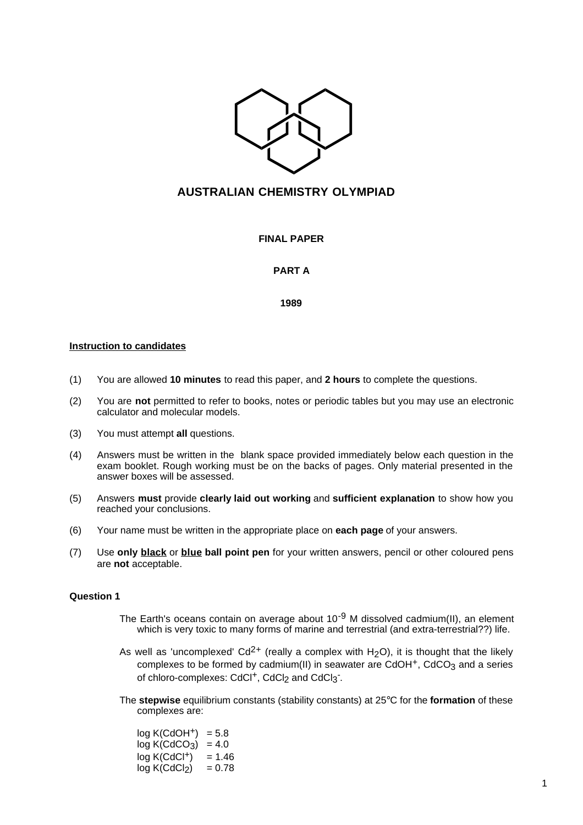

# **AUSTRALIAN CHEMISTRY OLYMPIAD**

**FINAL PAPER**

## **PART A**

**1989**

## **Instruction to candidates**

- (1) You are allowed **10 minutes** to read this paper, and **2 hours** to complete the questions.
- (2) You are **not** permitted to refer to books, notes or periodic tables but you may use an electronic calculator and molecular models.
- (3) You must attempt **all** questions.
- (4) Answers must be written in the blank space provided immediately below each question in the exam booklet. Rough working must be on the backs of pages. Only material presented in the answer boxes will be assessed.
- (5) Answers **must** provide **clearly laid out working** and **sufficient explanation** to show how you reached your conclusions.
- (6) Your name must be written in the appropriate place on **each page** of your answers.
- (7) Use **only black** or **blue ball point pen** for your written answers, pencil or other coloured pens are **not** acceptable.

## **Question 1**

- The Earth's oceans contain on average about  $10^{-9}$  M dissolved cadmium(II), an element which is very toxic to many forms of marine and terrestrial (and extra-terrestrial??) life.
- As well as 'uncomplexed'  $Cd^{2+}$  (really a complex with H<sub>2</sub>O), it is thought that the likely complexes to be formed by cadmium(II) in seawater are CdOH $<sup>+</sup>$ , CdCO<sub>3</sub> and a series</sup> of chloro-complexes: CdCl<sup>+</sup>, CdCl<sub>2</sub> and CdCl<sub>3</sub><sup>-</sup>.
- The **stepwise** equilibrium constants (stability constants) at 25°C for the **formation** of these complexes are:

| log K(CdOH <sup>+</sup> ) | $= 5.8$  |
|---------------------------|----------|
| log K(CdCO <sub>3</sub> ) | $= 4.0$  |
| log K(CdCl <sup>+</sup> ) | $= 1.46$ |
| log K(CdCl <sub>2</sub> ) | = 0.78   |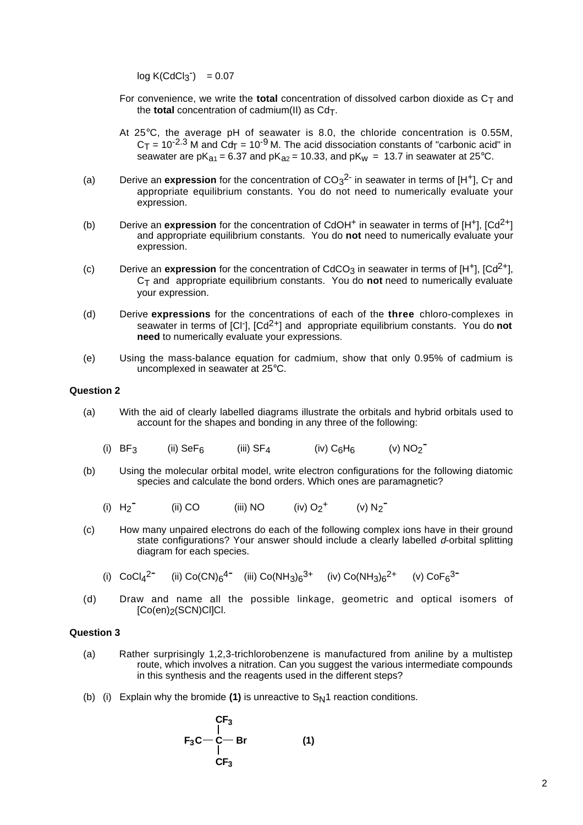$log K(CdCl<sub>3</sub><sup>-</sup>) = 0.07$ 

- For convenience, we write the **total** concentration of dissolved carbon dioxide as  $C_T$  and the **total** concentration of cadmium(II) as  $Cd<sub>T</sub>$ .
- At 25°C, the average pH of seawater is 8.0, the chloride concentration is 0.55M,  $C_T$  = 10<sup>-2.3</sup> M and  $Cd_T$  = 10<sup>-9</sup> M. The acid dissociation constants of "carbonic acid" in seawater are pK<sub>a1</sub> = 6.37 and pK<sub>a2</sub> = 10.33, and pK<sub>w</sub> = 13.7 in seawater at 25°C.
- (a) Derive an **expression** for the concentration of  $CO_3^2$  in seawater in terms of [H<sup>+</sup>],  $C_T$  and appropriate equilibrium constants. You do not need to numerically evaluate your expression.
- (b) Derive an **expression** for the concentration of CdOH<sup>+</sup> in seawater in terms of [H<sup>+</sup>], [Cd<sup>2+</sup>] and appropriate equilibrium constants. You do **not** need to numerically evaluate your expression.
- (c) Derive an **expression** for the concentration of CdCO<sub>3</sub> in seawater in terms of  $[H^+]$ ,  $[Cd^{2+}]$ , CT and appropriate equilibrium constants. You do **not** need to numerically evaluate your expression.
- (d) Derive **expressions** for the concentrations of each of the **three** chloro-complexes in seawater in terms of [Cl<sup>-</sup>], [Cd<sup>2+</sup>] and appropriate equilibrium constants. You do not **need** to numerically evaluate your expressions.
- (e) Using the mass-balance equation for cadmium, show that only 0.95% of cadmium is uncomplexed in seawater at 25°C.

### **Question 2**

- (a) With the aid of clearly labelled diagrams illustrate the orbitals and hybrid orbitals used to account for the shapes and bonding in any three of the following:
	- (i)  $BF_3$  (ii)  $Sef_6$  (iii)  $SF_4$  (iv)  $C_6H_6$  (v)  $NO_2^-$
- (b) Using the molecular orbital model, write electron configurations for the following diatomic species and calculate the bond orders. Which ones are paramagnetic?
	- (i)  $H_2$ <sup>-</sup> (ii) CO (iii) NO (iv)  $O_2$ <sup>+</sup> (v) N<sub>2</sub><sup>-</sup>
- (c) How many unpaired electrons do each of the following complex ions have in their ground state configurations? Your answer should include a clearly labelled d-orbital splitting diagram for each species.
	- (i)  $CoCl_4^{2-}$  (ii)  $Co(CN)_6^{4-}$  (iii)  $Co(NH_3)_6^{3+}$  (iv)  $Co(NH_3)_6^{2+}$  (v)  $CoF_6^{3-}$
- (d) Draw and name all the possible linkage, geometric and optical isomers of [Co(en)<sub>2</sub>(SCN)CI]Cl.

#### **Question 3**

- (a) Rather surprisingly 1,2,3-trichlorobenzene is manufactured from aniline by a multistep route, which involves a nitration. Can you suggest the various intermediate compounds in this synthesis and the reagents used in the different steps?
- (b) (i) Explain why the bromide  $(1)$  is unreactive to  $S_N1$  reaction conditions.

$$
\begin{array}{ccc}\n & CF_3 \\
 & | & \\
F_3C & -C & Br & \\
 & CF_3\n\end{array}
$$
\n(1)